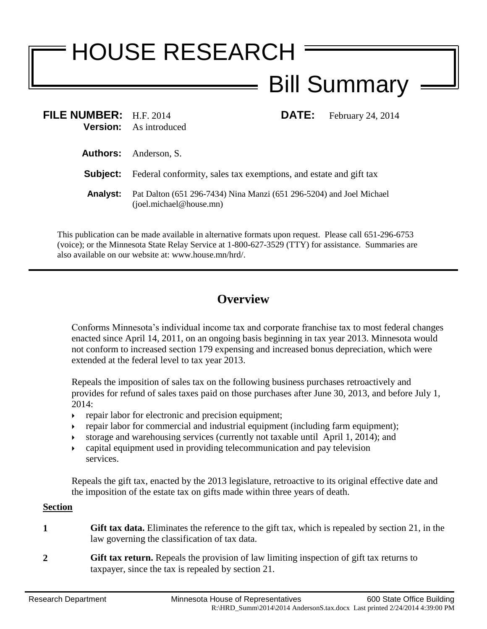# HOUSE RESEARCH Bill Summary

| FILE NUMBER: $H.F. 2014$ | <b>Version:</b> As introduced                                                                      |  | <b>DATE:</b> February 24, 2014 |
|--------------------------|----------------------------------------------------------------------------------------------------|--|--------------------------------|
|                          | <b>Authors:</b> Anderson, S.                                                                       |  |                                |
| Subject:                 | Federal conformity, sales tax exemptions, and estate and gift tax                                  |  |                                |
| <b>Analyst:</b>          | Pat Dalton (651 296-7434) Nina Manzi (651 296-5204) and Joel Michael<br>$(i$ oel.michael@house.mn) |  |                                |

This publication can be made available in alternative formats upon request. Please call 651-296-6753 (voice); or the Minnesota State Relay Service at 1-800-627-3529 (TTY) for assistance. Summaries are also available on our website at: www.house.mn/hrd/.

# **Overview**

Conforms Minnesota's individual income tax and corporate franchise tax to most federal changes enacted since April 14, 2011, on an ongoing basis beginning in tax year 2013. Minnesota would not conform to increased section 179 expensing and increased bonus depreciation, which were extended at the federal level to tax year 2013.

Repeals the imposition of sales tax on the following business purchases retroactively and provides for refund of sales taxes paid on those purchases after June 30, 2013, and before July 1, 2014:

- **repair labor for electronic and precision equipment;**
- repair labor for commercial and industrial equipment (including farm equipment);
- storage and warehousing services (currently not taxable until April 1, 2014); and
- capital equipment used in providing telecommunication and pay television services.

Repeals the gift tax, enacted by the 2013 legislature, retroactive to its original effective date and the imposition of the estate tax on gifts made within three years of death.

### **Section**

- **1 Gift tax data.** Eliminates the reference to the gift tax, which is repealed by section [21,](#page-6-0) in the law governing the classification of tax data.
- **2 Gift tax return.** Repeals the provision of law limiting inspection of gift tax returns to taxpayer, since the tax is repealed by section [21.](#page-6-0)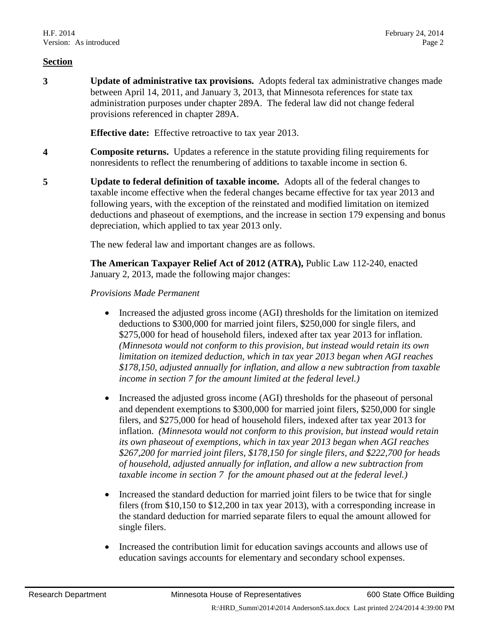**3 Update of administrative tax provisions.** Adopts federal tax administrative changes made between April 14, 2011, and January 3, 2013, that Minnesota references for state tax administration purposes under chapter 289A. The federal law did not change federal provisions referenced in chapter 289A.

**Effective date:** Effective retroactive to tax year 2013.

- **4 Composite returns.** Updates a reference in the statute providing filing requirements for nonresidents to reflect the renumbering of additions to taxable income in section [6.](#page-4-0)
- <span id="page-1-0"></span>**5 Update to federal definition of taxable income.** Adopts all of the federal changes to taxable income effective when the federal changes became effective for tax year 2013 and following years, with the exception of the reinstated and modified limitation on itemized deductions and phaseout of exemptions, and the increase in section 179 expensing and bonus depreciation, which applied to tax year 2013 only.

The new federal law and important changes are as follows.

**The American Taxpayer Relief Act of 2012 (ATRA),** Public Law 112-240, enacted January 2, 2013, made the following major changes:

- *Provisions Made Permanent*
	- Increased the adjusted gross income (AGI) thresholds for the limitation on itemized deductions to \$300,000 for married joint filers, \$250,000 for single filers, and \$275,000 for head of household filers, indexed after tax year 2013 for inflation. *(Minnesota would not conform to this provision, but instead would retain its own limitation on itemized deduction, which in tax year 2013 began when AGI reaches \$178,150, adjusted annually for inflation, and allow a new subtraction from taxable income in section [7](#page-4-1) for the amount limited at the federal level.)*
	- Increased the adjusted gross income (AGI) thresholds for the phaseout of personal and dependent exemptions to \$300,000 for married joint filers, \$250,000 for single filers, and \$275,000 for head of household filers, indexed after tax year 2013 for inflation. *(Minnesota would not conform to this provision, but instead would retain its own phaseout of exemptions, which in tax year 2013 began when AGI reaches \$267,200 for married joint filers, \$178,150 for single filers, and \$222,700 for heads of household, adjusted annually for inflation, and allow a new subtraction from taxable income in section [7](#page-4-1) for the amount phased out at the federal level.)*
	- Increased the standard deduction for married joint filers to be twice that for single filers (from \$10,150 to \$12,200 in tax year 2013), with a corresponding increase in the standard deduction for married separate filers to equal the amount allowed for single filers.
	- Increased the contribution limit for education savings accounts and allows use of education savings accounts for elementary and secondary school expenses.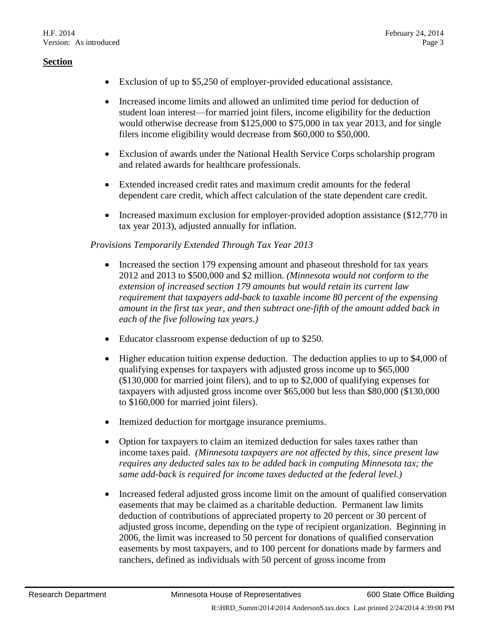- Exclusion of up to \$5,250 of employer-provided educational assistance.
- Increased income limits and allowed an unlimited time period for deduction of student loan interest—for married joint filers, income eligibility for the deduction would otherwise decrease from \$125,000 to \$75,000 in tax year 2013, and for single filers income eligibility would decrease from \$60,000 to \$50,000.
- Exclusion of awards under the National Health Service Corps scholarship program and related awards for healthcare professionals.
- Extended increased credit rates and maximum credit amounts for the federal dependent care credit, which affect calculation of the state dependent care credit.
- Increased maximum exclusion for employer-provided adoption assistance (\$12,770 in tax year 2013), adjusted annually for inflation.

## *Provisions Temporarily Extended Through Tax Year 2013*

- Increased the section 179 expensing amount and phaseout threshold for tax years 2012 and 2013 to \$500,000 and \$2 million. *(Minnesota would not conform to the extension of increased section 179 amounts but would retain its current law requirement that taxpayers add-back to taxable income 80 percent of the expensing amount in the first tax year, and then subtract one-fifth of the amount added back in each of the five following tax years.)*
- Educator classroom expense deduction of up to \$250.
- Higher education tuition expense deduction. The deduction applies to up to \$4,000 of qualifying expenses for taxpayers with adjusted gross income up to \$65,000 (\$130,000 for married joint filers), and to up to \$2,000 of qualifying expenses for taxpayers with adjusted gross income over \$65,000 but less than \$80,000 (\$130,000 to \$160,000 for married joint filers).
- Itemized deduction for mortgage insurance premiums.
- Option for taxpayers to claim an itemized deduction for sales taxes rather than income taxes paid. *(Minnesota taxpayers are not affected by this, since present law requires any deducted sales tax to be added back in computing Minnesota tax; the same add-back is required for income taxes deducted at the federal level.)*
- Increased federal adjusted gross income limit on the amount of qualified conservation easements that may be claimed as a charitable deduction. Permanent law limits deduction of contributions of appreciated property to 20 percent or 30 percent of adjusted gross income, depending on the type of recipient organization. Beginning in 2006, the limit was increased to 50 percent for donations of qualified conservation easements by most taxpayers, and to 100 percent for donations made by farmers and ranchers, defined as individuals with 50 percent of gross income from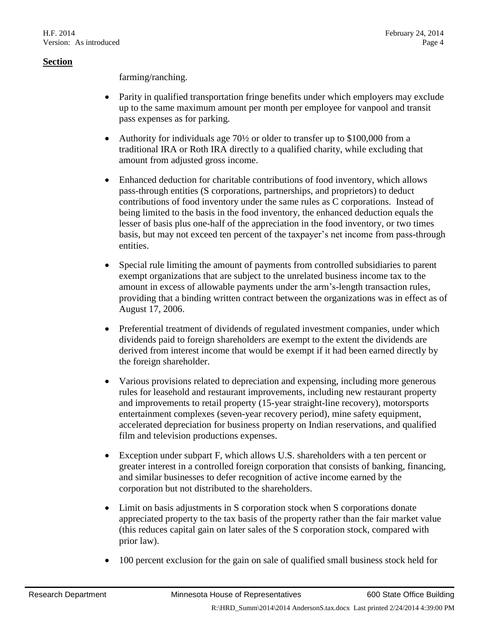farming/ranching.

- Parity in qualified transportation fringe benefits under which employers may exclude up to the same maximum amount per month per employee for vanpool and transit pass expenses as for parking.
- Authority for individuals age  $70\frac{1}{2}$  or older to transfer up to \$100,000 from a traditional IRA or Roth IRA directly to a qualified charity, while excluding that amount from adjusted gross income.
- Enhanced deduction for charitable contributions of food inventory, which allows pass-through entities (S corporations, partnerships, and proprietors) to deduct contributions of food inventory under the same rules as C corporations. Instead of being limited to the basis in the food inventory, the enhanced deduction equals the lesser of basis plus one-half of the appreciation in the food inventory, or two times basis, but may not exceed ten percent of the taxpayer's net income from pass-through entities.
- Special rule limiting the amount of payments from controlled subsidiaries to parent exempt organizations that are subject to the unrelated business income tax to the amount in excess of allowable payments under the arm's-length transaction rules, providing that a binding written contract between the organizations was in effect as of August 17, 2006.
- Preferential treatment of dividends of regulated investment companies, under which dividends paid to foreign shareholders are exempt to the extent the dividends are derived from interest income that would be exempt if it had been earned directly by the foreign shareholder.
- Various provisions related to depreciation and expensing, including more generous rules for leasehold and restaurant improvements, including new restaurant property and improvements to retail property (15-year straight-line recovery), motorsports entertainment complexes (seven-year recovery period), mine safety equipment, accelerated depreciation for business property on Indian reservations, and qualified film and television productions expenses.
- Exception under subpart F, which allows U.S. shareholders with a ten percent or greater interest in a controlled foreign corporation that consists of banking, financing, and similar businesses to defer recognition of active income earned by the corporation but not distributed to the shareholders.
- Limit on basis adjustments in S corporation stock when S corporations donate appreciated property to the tax basis of the property rather than the fair market value (this reduces capital gain on later sales of the S corporation stock, compared with prior law).
- 100 percent exclusion for the gain on sale of qualified small business stock held for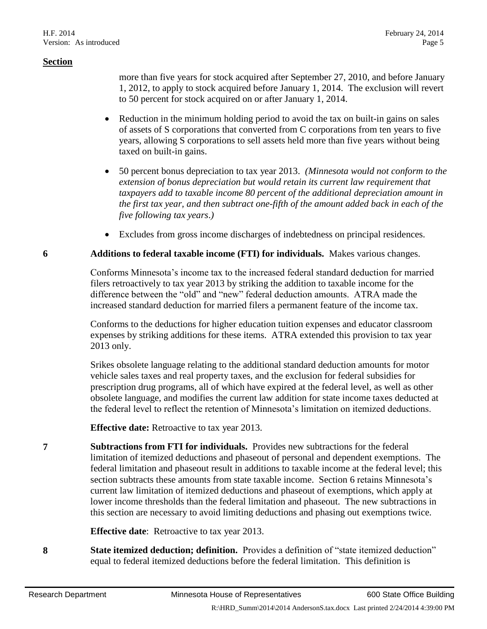more than five years for stock acquired after September 27, 2010, and before January 1, 2012, to apply to stock acquired before January 1, 2014. The exclusion will revert to 50 percent for stock acquired on or after January 1, 2014.

- Reduction in the minimum holding period to avoid the tax on built-in gains on sales of assets of S corporations that converted from C corporations from ten years to five years, allowing S corporations to sell assets held more than five years without being taxed on built-in gains.
- 50 percent bonus depreciation to tax year 2013. *(Minnesota would not conform to the extension of bonus depreciation but would retain its current law requirement that taxpayers add to taxable income 80 percent of the additional depreciation amount in the first tax year, and then subtract one-fifth of the amount added back in each of the five following tax years*.*)*
- Excludes from gross income discharges of indebtedness on principal residences.

#### <span id="page-4-0"></span>**6 Additions to federal taxable income (FTI) for individuals.** Makes various changes.

Conforms Minnesota's income tax to the increased federal standard deduction for married filers retroactively to tax year 2013 by striking the addition to taxable income for the difference between the "old" and "new" federal deduction amounts. ATRA made the increased standard deduction for married filers a permanent feature of the income tax.

Conforms to the deductions for higher education tuition expenses and educator classroom expenses by striking additions for these items. ATRA extended this provision to tax year 2013 only.

Srikes obsolete language relating to the additional standard deduction amounts for motor vehicle sales taxes and real property taxes, and the exclusion for federal subsidies for prescription drug programs, all of which have expired at the federal level, as well as other obsolete language, and modifies the current law addition for state income taxes deducted at the federal level to reflect the retention of Minnesota's limitation on itemized deductions.

**Effective date:** Retroactive to tax year 2013.

<span id="page-4-1"></span>**7 Subtractions from FTI for individuals.** Provides new subtractions for the federal limitation of itemized deductions and phaseout of personal and dependent exemptions. The federal limitation and phaseout result in additions to taxable income at the federal level; this section subtracts these amounts from state taxable income. Section [6](#page-4-0) retains Minnesota's current law limitation of itemized deductions and phaseout of exemptions, which apply at lower income thresholds than the federal limitation and phaseout. The new subtractions in this section are necessary to avoid limiting deductions and phasing out exemptions twice.

**Effective date**: Retroactive to tax year 2013.

**8 State itemized deduction; definition.** Provides a definition of "state itemized deduction" equal to federal itemized deductions before the federal limitation. This definition is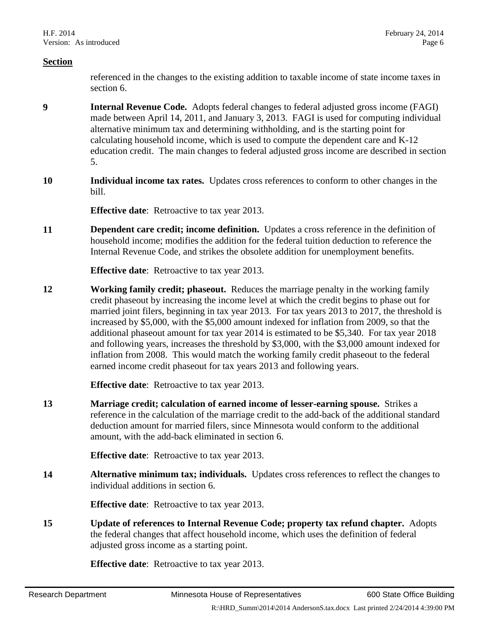referenced in the changes to the existing addition to taxable income of state income taxes in section [6.](#page-4-0)

- **9 Internal Revenue Code.** Adopts federal changes to federal adjusted gross income (FAGI) made between April 14, 2011, and January 3, 2013. FAGI is used for computing individual alternative minimum tax and determining withholding, and is the starting point for calculating household income, which is used to compute the dependent care and K-12 education credit. The main changes to federal adjusted gross income are described in section [5.](#page-1-0)
- **10 Individual income tax rates.** Updates cross references to conform to other changes in the bill.

**Effective date:** Retroactive to tax year 2013.

**11 Dependent care credit; income definition.** Updates a cross reference in the definition of household income; modifies the addition for the federal tuition deduction to reference the Internal Revenue Code, and strikes the obsolete addition for unemployment benefits.

**Effective date**: Retroactive to tax year 2013.

**12 Working family credit; phaseout.** Reduces the marriage penalty in the working family credit phaseout by increasing the income level at which the credit begins to phase out for married joint filers, beginning in tax year 2013. For tax years 2013 to 2017, the threshold is increased by \$5,000, with the \$5,000 amount indexed for inflation from 2009, so that the additional phaseout amount for tax year 2014 is estimated to be \$5,340. For tax year 2018 and following years, increases the threshold by \$3,000, with the \$3,000 amount indexed for inflation from 2008. This would match the working family credit phaseout to the federal earned income credit phaseout for tax years 2013 and following years.

**Effective date**: Retroactive to tax year 2013.

**13 Marriage credit; calculation of earned income of lesser-earning spouse.** Strikes a reference in the calculation of the marriage credit to the add-back of the additional standard deduction amount for married filers, since Minnesota would conform to the additional amount, with the add-back eliminated in section [6.](#page-4-0)

**Effective date**: Retroactive to tax year 2013.

**14 Alternative minimum tax; individuals.** Updates cross references to reflect the changes to individual additions in section [6.](#page-4-0)

**Effective date**: Retroactive to tax year 2013.

**15 Update of references to Internal Revenue Code; property tax refund chapter.** Adopts the federal changes that affect household income, which uses the definition of federal adjusted gross income as a starting point.

**Effective date**: Retroactive to tax year 2013.